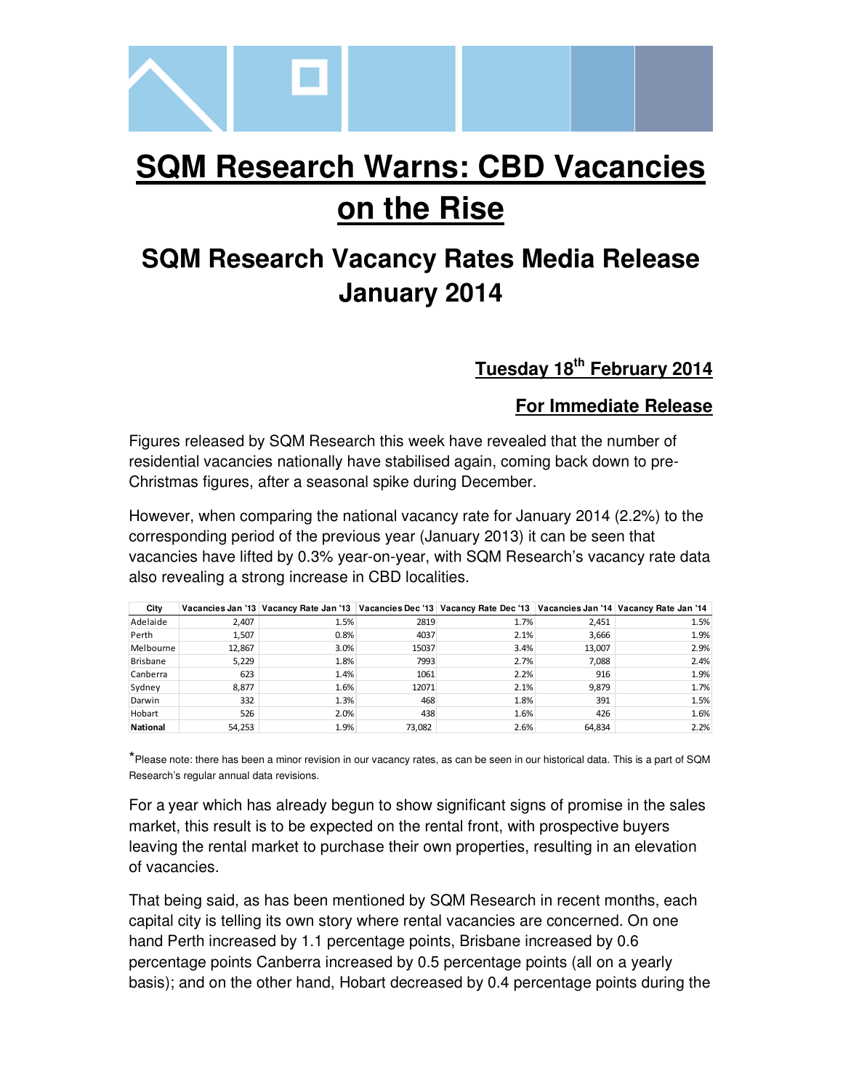

# **SQM Research Warns: CBD Vacancies on the Rise**

## **SQM Research Vacancy Rates Media Release January 2014**

### **Tuesday 18th February 2014**

#### **For Immediate Release**

Figures released by SQM Research this week have revealed that the number of residential vacancies nationally have stabilised again, coming back down to pre-Christmas figures, after a seasonal spike during December.

However, when comparing the national vacancy rate for January 2014 (2.2%) to the corresponding period of the previous year (January 2013) it can be seen that vacancies have lifted by 0.3% year-on-year, with SQM Research's vacancy rate data also revealing a strong increase in CBD localities.

| City            |        |      |        | Vacancies Jan '13 Vacancy Rate Jan '13 Vacancies Dec '13 Vacancy Rate Dec '13 Vacancies Jan '14 Vacancy Rate Jan '14 |        |      |
|-----------------|--------|------|--------|----------------------------------------------------------------------------------------------------------------------|--------|------|
| Adelaide        | 2,407  | 1.5% | 2819   | 1.7%                                                                                                                 | 2,451  | 1.5% |
| Perth           | 1,507  | 0.8% | 4037   | 2.1%                                                                                                                 | 3,666  | 1.9% |
| Melbourne       | 12.867 | 3.0% | 15037  | 3.4%                                                                                                                 | 13,007 | 2.9% |
| <b>Brisbane</b> | 5.229  | 1.8% | 7993   | 2.7%                                                                                                                 | 7.088  | 2.4% |
| Canberra        | 623    | 1.4% | 1061   | 2.2%                                                                                                                 | 916    | 1.9% |
| Sydney          | 8,877  | 1.6% | 12071  | 2.1%                                                                                                                 | 9,879  | 1.7% |
| Darwin          | 332    | 1.3% | 468    | 1.8%                                                                                                                 | 391    | 1.5% |
| Hobart          | 526    | 2.0% | 438    | 1.6%                                                                                                                 | 426    | 1.6% |
| <b>National</b> | 54,253 | 1.9% | 73,082 | 2.6%                                                                                                                 | 64,834 | 2.2% |

\*Please note: there has been a minor revision in our vacancy rates, as can be seen in our historical data. This is a part of SQM Research's regular annual data revisions.

For a year which has already begun to show significant signs of promise in the sales market, this result is to be expected on the rental front, with prospective buyers leaving the rental market to purchase their own properties, resulting in an elevation of vacancies.

That being said, as has been mentioned by SQM Research in recent months, each capital city is telling its own story where rental vacancies are concerned. On one hand Perth increased by 1.1 percentage points, Brisbane increased by 0.6 percentage points Canberra increased by 0.5 percentage points (all on a yearly basis); and on the other hand, Hobart decreased by 0.4 percentage points during the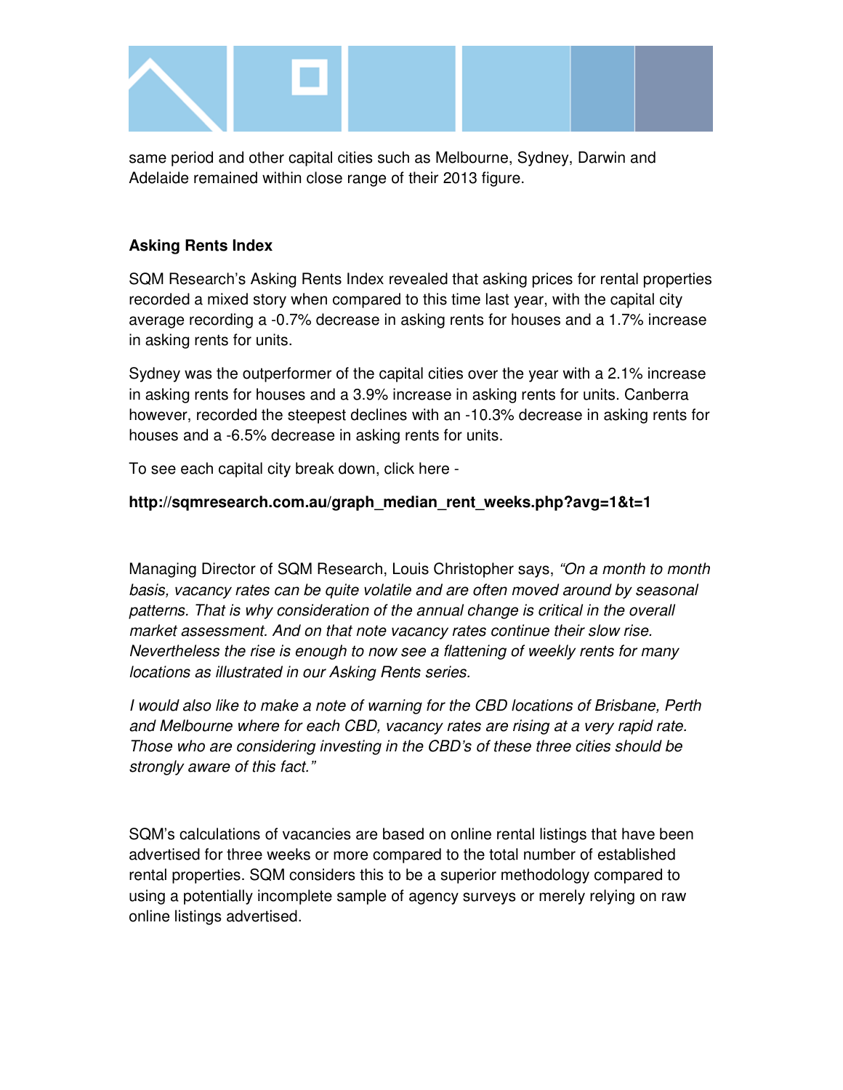

same period and other capital cities such as Melbourne, Sydney, Darwin and Adelaide remained within close range of their 2013 figure.

#### **Asking Rents Index**

SQM Research's Asking Rents Index revealed that asking prices for rental properties recorded a mixed story when compared to this time last year, with the capital city average recording a -0.7% decrease in asking rents for houses and a 1.7% increase in asking rents for units.

Sydney was the outperformer of the capital cities over the year with a 2.1% increase in asking rents for houses and a 3.9% increase in asking rents for units. Canberra however, recorded the steepest declines with an -10.3% decrease in asking rents for houses and a -6.5% decrease in asking rents for units.

To see each capital city break down, click here -

#### **http://sqmresearch.com.au/graph\_median\_rent\_weeks.php?avg=1&t=1**

Managing Director of SQM Research, Louis Christopher says, "On a month to month basis, vacancy rates can be quite volatile and are often moved around by seasonal patterns. That is why consideration of the annual change is critical in the overall market assessment. And on that note vacancy rates continue their slow rise. Nevertheless the rise is enough to now see a flattening of weekly rents for many locations as illustrated in our Asking Rents series.

I would also like to make a note of warning for the CBD locations of Brisbane, Perth and Melbourne where for each CBD, vacancy rates are rising at a very rapid rate. Those who are considering investing in the CBD's of these three cities should be strongly aware of this fact."

SQM's calculations of vacancies are based on online rental listings that have been advertised for three weeks or more compared to the total number of established rental properties. SQM considers this to be a superior methodology compared to using a potentially incomplete sample of agency surveys or merely relying on raw online listings advertised.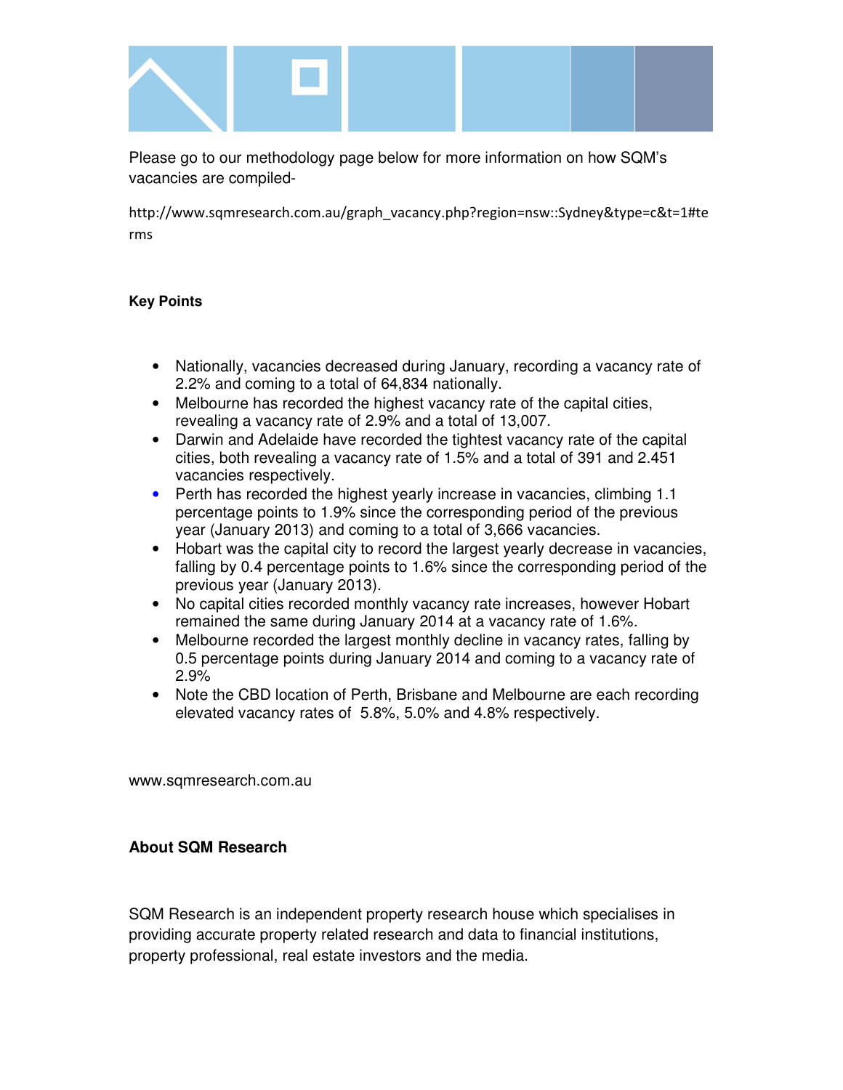

Please go to our methodology page below for more information on how SQM's vacancies are compiled-

http://www.sqmresearch.com.au/graph\_vacancy.php?region=nsw::Sydney&type=c&t=1#te rms

#### **Key Points**

- Nationally, vacancies decreased during January, recording a vacancy rate of 2.2% and coming to a total of 64,834 nationally.
- Melbourne has recorded the highest vacancy rate of the capital cities, revealing a vacancy rate of 2.9% and a total of 13,007.
- Darwin and Adelaide have recorded the tightest vacancy rate of the capital cities, both revealing a vacancy rate of 1.5% and a total of 391 and 2.451 vacancies respectively.
- Perth has recorded the highest yearly increase in vacancies, climbing 1.1 percentage points to 1.9% since the corresponding period of the previous year (January 2013) and coming to a total of 3,666 vacancies.
- Hobart was the capital city to record the largest yearly decrease in vacancies, falling by 0.4 percentage points to 1.6% since the corresponding period of the previous year (January 2013).
- No capital cities recorded monthly vacancy rate increases, however Hobart remained the same during January 2014 at a vacancy rate of 1.6%.
- Melbourne recorded the largest monthly decline in vacancy rates, falling by 0.5 percentage points during January 2014 and coming to a vacancy rate of 2.9%
- Note the CBD location of Perth, Brisbane and Melbourne are each recording elevated vacancy rates of 5.8%, 5.0% and 4.8% respectively.

www.sqmresearch.com.au

#### **About SQM Research**

SQM Research is an independent property research house which specialises in providing accurate property related research and data to financial institutions, property professional, real estate investors and the media.